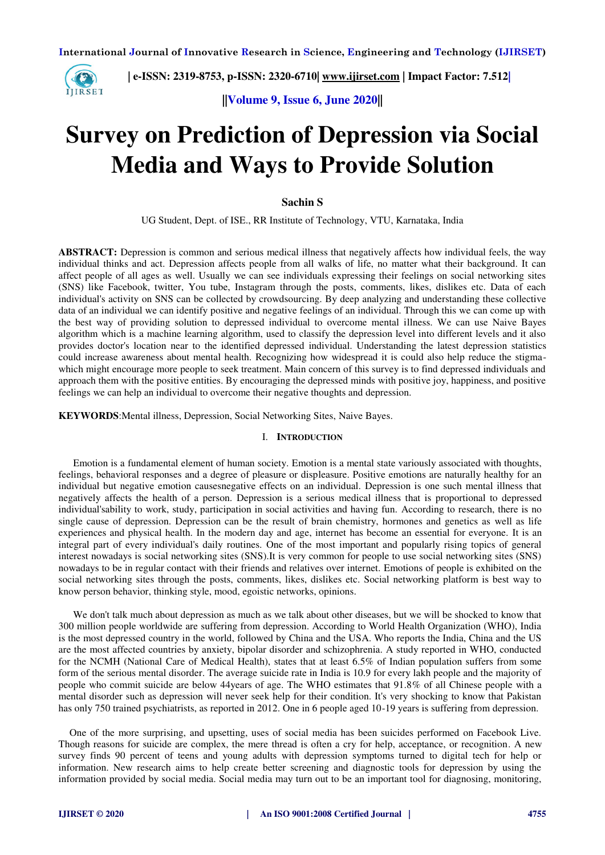

 **| e-ISSN: 2319-8753, p-ISSN: 2320-6710| [www.ijirset.com](http://www.ijirset.com/) | Impact Factor: 7.512|**

**||Volume 9, Issue 6, June 2020||** 

# **Survey on Prediction of Depression via Social Media and Ways to Provide Solution**

#### **Sachin S**

UG Student, Dept. of ISE., RR Institute of Technology, VTU, Karnataka, India

**ABSTRACT:** Depression is common and serious medical illness that negatively affects how individual feels, the way individual thinks and act. Depression affects people from all walks of life, no matter what their background. It can affect people of all ages as well. Usually we can see individuals expressing their feelings on social networking sites (SNS) like Facebook, twitter, You tube, Instagram through the posts, comments, likes, dislikes etc. Data of each individual's activity on SNS can be collected by crowdsourcing. By deep analyzing and understanding these collective data of an individual we can identify positive and negative feelings of an individual. Through this we can come up with the best way of providing solution to depressed individual to overcome mental illness. We can use Naive Bayes algorithm which is a machine learning algorithm, used to classify the depression level into different levels and it also provides doctor's location near to the identified depressed individual. Understanding the latest depression statistics could increase awareness about mental health. Recognizing how widespread it is could also help reduce the stigmawhich might encourage more people to seek treatment. Main concern of this survey is to find depressed individuals and approach them with the positive entities. By encouraging the depressed minds with positive joy, happiness, and positive feelings we can help an individual to overcome their negative thoughts and depression.

**KEYWORDS**:Mental illness, Depression, Social Networking Sites, Naive Bayes.

#### I. **INTRODUCTION**

Emotion is a fundamental element of human society. Emotion is a mental state variously associated with thoughts, feelings, behavioral responses and a degree of pleasure or displeasure. Positive emotions are naturally healthy for an individual but negative emotion causesnegative effects on an individual. Depression is one such mental illness that negatively affects the health of a person. Depression is a serious medical illness that is proportional to depressed individual'sability to work, study, participation in social activities and having fun. According to research, there is no single cause of depression. Depression can be the result of brain chemistry, hormones and genetics as well as life experiences and physical health. In the modern day and age, internet has become an essential for everyone. It is an integral part of every individual's daily routines. One of the most important and popularly rising topics of general interest nowadays is social networking sites (SNS).It is very common for people to use social networking sites (SNS) nowadays to be in regular contact with their friends and relatives over internet. Emotions of people is exhibited on the social networking sites through the posts, comments, likes, dislikes etc. Social networking platform is best way to know person behavior, thinking style, mood, egoistic networks, opinions.

We don't talk much about depression as much as we talk about other diseases, but we will be shocked to know that 300 million people worldwide are suffering from depression. According to World Health Organization (WHO), India is the most depressed country in the world, followed by China and the USA. Who reports the India, China and the US are the most affected countries by anxiety, bipolar disorder and schizophrenia. A study reported in WHO, conducted for the NCMH (National Care of Medical Health), states that at least 6.5% of Indian population suffers from some form of the serious mental disorder. The average suicide rate in India is 10.9 for every lakh people and the majority of people who commit suicide are below 44years of age. The WHO estimates that 91.8% of all Chinese people with a mental disorder such as depression will never seek help for their condition. It's very shocking to know that Pakistan has only 750 trained psychiatrists, as reported in 2012. One in 6 people aged 10-19 years is suffering from depression.

One of the more surprising, and upsetting, uses of social media has been suicides performed on Facebook Live. Though reasons for suicide are complex, the mere thread is often a cry for help, acceptance, or recognition. A new survey finds 90 percent of teens and young adults with depression symptoms turned to digital tech for help or information. New research aims to help create better screening and diagnostic tools for depression by using the information provided by social media. Social media may turn out to be an important tool for diagnosing, monitoring,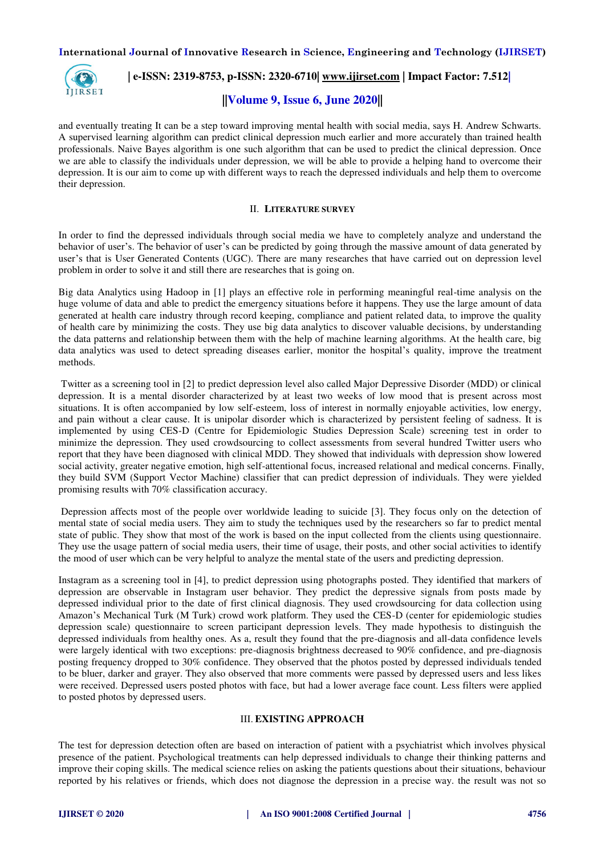

 **| e-ISSN: 2319-8753, p-ISSN: 2320-6710| [www.ijirset.com](http://www.ijirset.com/) | Impact Factor: 7.512|**

## **||Volume 9, Issue 6, June 2020||**

and eventually treating It can be a step toward improving mental health with social media, says H. Andrew Schwarts. A supervised learning algorithm can predict clinical depression much earlier and more accurately than trained health professionals. Naive Bayes algorithm is one such algorithm that can be used to predict the clinical depression. Once we are able to classify the individuals under depression, we will be able to provide a helping hand to overcome their depression. It is our aim to come up with different ways to reach the depressed individuals and help them to overcome their depression.

## II. **LITERATURE SURVEY**

In order to find the depressed individuals through social media we have to completely analyze and understand the behavior of user's. The behavior of user's can be predicted by going through the massive amount of data generated by user's that is User Generated Contents (UGC). There are many researches that have carried out on depression level problem in order to solve it and still there are researches that is going on.

Big data Analytics using Hadoop in [1] plays an effective role in performing meaningful real-time analysis on the huge volume of data and able to predict the emergency situations before it happens. They use the large amount of data generated at health care industry through record keeping, compliance and patient related data, to improve the quality of health care by minimizing the costs. They use big data analytics to discover valuable decisions, by understanding the data patterns and relationship between them with the help of machine learning algorithms. At the health care, big data analytics was used to detect spreading diseases earlier, monitor the hospital's quality, improve the treatment methods.

 Twitter as a screening tool in [2] to predict depression level also called Major Depressive Disorder (MDD) or clinical depression. It is a mental disorder characterized by at least two weeks of low mood that is present across most situations. It is often accompanied by low self-esteem, loss of interest in normally enjoyable activities, low energy, and pain without a clear cause. It is unipolar disorder which is characterized by persistent feeling of sadness. It is implemented by using CES-D (Centre for Epidemiologic Studies Depression Scale) screening test in order to minimize the depression. They used crowdsourcing to collect assessments from several hundred Twitter users who report that they have been diagnosed with clinical MDD. They showed that individuals with depression show lowered social activity, greater negative emotion, high self-attentional focus, increased relational and medical concerns. Finally, they build SVM (Support Vector Machine) classifier that can predict depression of individuals. They were yielded promising results with 70% classification accuracy.

 Depression affects most of the people over worldwide leading to suicide [3]. They focus only on the detection of mental state of social media users. They aim to study the techniques used by the researchers so far to predict mental state of public. They show that most of the work is based on the input collected from the clients using questionnaire. They use the usage pattern of social media users, their time of usage, their posts, and other social activities to identify the mood of user which can be very helpful to analyze the mental state of the users and predicting depression.

Instagram as a screening tool in [4], to predict depression using photographs posted. They identified that markers of depression are observable in Instagram user behavior. They predict the depressive signals from posts made by depressed individual prior to the date of first clinical diagnosis. They used crowdsourcing for data collection using Amazon's Mechanical Turk (M Turk) crowd work platform. They used the CES-D (center for epidemiologic studies depression scale) questionnaire to screen participant depression levels. They made hypothesis to distinguish the depressed individuals from healthy ones. As a, result they found that the pre-diagnosis and all-data confidence levels were largely identical with two exceptions: pre-diagnosis brightness decreased to 90% confidence, and pre-diagnosis posting frequency dropped to 30% confidence. They observed that the photos posted by depressed individuals tended to be bluer, darker and grayer. They also observed that more comments were passed by depressed users and less likes were received. Depressed users posted photos with face, but had a lower average face count. Less filters were applied to posted photos by depressed users.

## III. **EXISTING APPROACH**

The test for depression detection often are based on interaction of patient with a psychiatrist which involves physical presence of the patient. Psychological treatments can help depressed individuals to change their thinking patterns and improve their coping skills. The medical science relies on asking the patients questions about their situations, behaviour reported by his relatives or friends, which does not diagnose the depression in a precise way. the result was not so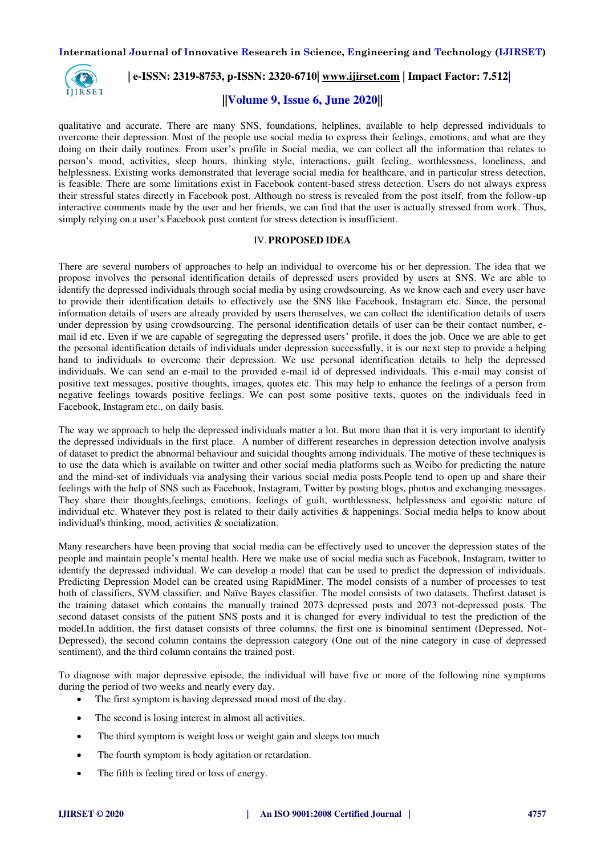

## **| e-ISSN: 2319-8753, p-ISSN: 2320-6710| [www.ijirset.com](http://www.ijirset.com/) | Impact Factor: 7.512|**

## **||Volume 9, Issue 6, June 2020||**

qualitative and accurate. There are many SNS, foundations, helplines, available to help depressed individuals to overcome their depression. Most of the people use social media to express their feelings, emotions, and what are they doing on their daily routines. From user's profile in Social media, we can collect all the information that relates to person's mood, activities, sleep hours, thinking style, interactions, guilt feeling, worthlessness, loneliness, and helplessness. Existing works demonstrated that leverage social media for healthcare, and in particular stress detection, is feasible. There are some limitations exist in Facebook content-based stress detection. Users do not always express their stressful states directly in Facebook post. Although no stress is revealed from the post itself, from the follow-up interactive comments made by the user and her friends, we can find that the user is actually stressed from work. Thus, simply relying on a user's Facebook post content for stress detection is insufficient.

## IV.**PROPOSED IDEA**

There are several numbers of approaches to help an individual to overcome his or her depression. The idea that we propose involves the personal identification details of depressed users provided by users at SNS. We are able to identify the depressed individuals through social media by using crowdsourcing. As we know each and every user have to provide their identification details to effectively use the SNS like Facebook, Instagram etc. Since, the personal information details of users are already provided by users themselves, we can collect the identification details of users under depression by using crowdsourcing. The personal identification details of user can be their contact number, email id etc. Even if we are capable of segregating the depressed users' profile, it does the job. Once we are able to get the personal identification details of individuals under depression successfully, it is our next step to provide a helping hand to individuals to overcome their depression. We use personal identification details to help the depressed individuals. We can send an e-mail to the provided e-mail id of depressed individuals. This e-mail may consist of positive text messages, positive thoughts, images, quotes etc. This may help to enhance the feelings of a person from negative feelings towards positive feelings. We can post some positive texts, quotes on the individuals feed in Facebook, Instagram etc., on daily basis.

The way we approach to help the depressed individuals matter a lot. But more than that it is very important to identify the depressed individuals in the first place. A number of different researches in depression detection involve analysis of dataset to predict the abnormal behaviour and suicidal thoughts among individuals. The motive of these techniques is to use the data which is available on twitter and other social media platforms such as Weibo for predicting the nature and the mind-set of individuals via analysing their various social media posts.People tend to open up and share their feelings with the help of SNS such as Facebook, Instagram, Twitter by posting blogs, photos and exchanging messages. They share their thoughts,feelings, emotions, feelings of guilt, worthlessness, helplessness and egoistic nature of individual etc. Whatever they post is related to their daily activities & happenings. Social media helps to know about individual's thinking, mood, activities & socialization.

Many researchers have been proving that social media can be effectively used to uncover the depression states of the people and maintain people's mental health. Here we make use of social media such as Facebook, Instagram, twitter to identify the depressed individual. We can develop a model that can be used to predict the depression of individuals. Predicting Depression Model can be created using RapidMiner. The model consists of a number of processes to test both of classifiers, SVM classifier, and Naïve Bayes classifier. The model consists of two datasets. Thefirst dataset is the training dataset which contains the manually trained 2073 depressed posts and 2073 not-depressed posts. The second dataset consists of the patient SNS posts and it is changed for every individual to test the prediction of the model.In addition, the first dataset consists of three columns, the first one is binominal sentiment (Depressed, Not-Depressed), the second column contains the depression category (One out of the nine category in case of depressed sentiment), and the third column contains the trained post.

To diagnose with major depressive episode, the individual will have five or more of the following nine symptoms during the period of two weeks and nearly every day.

- The first symptom is having depressed mood most of the day.
- The second is losing interest in almost all activities.
- The third symptom is weight loss or weight gain and sleeps too much
- The fourth symptom is body agitation or retardation.
- The fifth is feeling tired or loss of energy.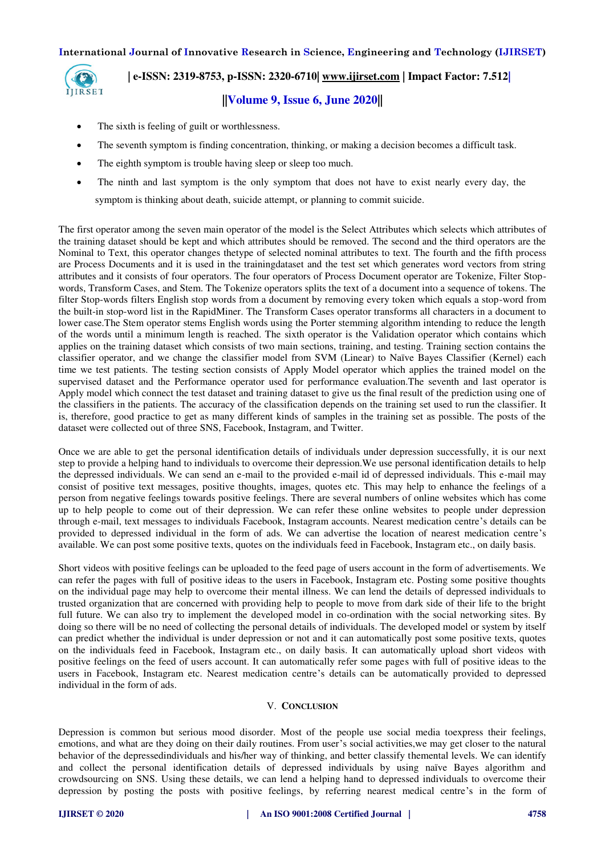

# **| e-ISSN: 2319-8753, p-ISSN: 2320-6710| [www.ijirset.com](http://www.ijirset.com/) | Impact Factor: 7.512|**

# **||Volume 9, Issue 6, June 2020||**

- The sixth is feeling of guilt or worthlessness.
- The seventh symptom is finding concentration, thinking, or making a decision becomes a difficult task.
- The eighth symptom is trouble having sleep or sleep too much.
- The ninth and last symptom is the only symptom that does not have to exist nearly every day, the symptom is thinking about death, suicide attempt, or planning to commit suicide.

The first operator among the seven main operator of the model is the Select Attributes which selects which attributes of the training dataset should be kept and which attributes should be removed. The second and the third operators are the Nominal to Text, this operator changes thetype of selected nominal attributes to text. The fourth and the fifth process are Process Documents and it is used in the trainingdataset and the test set which generates word vectors from string attributes and it consists of four operators. The four operators of Process Document operator are Tokenize, Filter Stopwords, Transform Cases, and Stem. The Tokenize operators splits the text of a document into a sequence of tokens. The filter Stop-words filters English stop words from a document by removing every token which equals a stop-word from the built-in stop-word list in the RapidMiner. The Transform Cases operator transforms all characters in a document to lower case.The Stem operator stems English words using the Porter stemming algorithm intending to reduce the length of the words until a minimum length is reached. The sixth operator is the Validation operator which contains which applies on the training dataset which consists of two main sections, training, and testing. Training section contains the classifier operator, and we change the classifier model from SVM (Linear) to Naïve Bayes Classifier (Kernel) each time we test patients. The testing section consists of Apply Model operator which applies the trained model on the supervised dataset and the Performance operator used for performance evaluation.The seventh and last operator is Apply model which connect the test dataset and training dataset to give us the final result of the prediction using one of the classifiers in the patients. The accuracy of the classification depends on the training set used to run the classifier. It is, therefore, good practice to get as many different kinds of samples in the training set as possible. The posts of the dataset were collected out of three SNS, Facebook, Instagram, and Twitter.

Once we are able to get the personal identification details of individuals under depression successfully, it is our next step to provide a helping hand to individuals to overcome their depression.We use personal identification details to help the depressed individuals. We can send an e-mail to the provided e-mail id of depressed individuals. This e-mail may consist of positive text messages, positive thoughts, images, quotes etc. This may help to enhance the feelings of a person from negative feelings towards positive feelings. There are several numbers of online websites which has come up to help people to come out of their depression. We can refer these online websites to people under depression through e-mail, text messages to individuals Facebook, Instagram accounts. Nearest medication centre's details can be provided to depressed individual in the form of ads. We can advertise the location of nearest medication centre's available. We can post some positive texts, quotes on the individuals feed in Facebook, Instagram etc., on daily basis.

Short videos with positive feelings can be uploaded to the feed page of users account in the form of advertisements. We can refer the pages with full of positive ideas to the users in Facebook, Instagram etc. Posting some positive thoughts on the individual page may help to overcome their mental illness. We can lend the details of depressed individuals to trusted organization that are concerned with providing help to people to move from dark side of their life to the bright full future. We can also try to implement the developed model in co-ordination with the social networking sites. By doing so there will be no need of collecting the personal details of individuals. The developed model or system by itself can predict whether the individual is under depression or not and it can automatically post some positive texts, quotes on the individuals feed in Facebook, Instagram etc., on daily basis. It can automatically upload short videos with positive feelings on the feed of users account. It can automatically refer some pages with full of positive ideas to the users in Facebook, Instagram etc. Nearest medication centre's details can be automatically provided to depressed individual in the form of ads.

## V. **CONCLUSION**

Depression is common but serious mood disorder. Most of the people use social media toexpress their feelings, emotions, and what are they doing on their daily routines. From user's social activities,we may get closer to the natural behavior of the depressedindividuals and his/her way of thinking, and better classify themental levels. We can identify and collect the personal identification details of depressed individuals by using naïve Bayes algorithm and crowdsourcing on SNS. Using these details, we can lend a helping hand to depressed individuals to overcome their depression by posting the posts with positive feelings, by referring nearest medical centre's in the form of